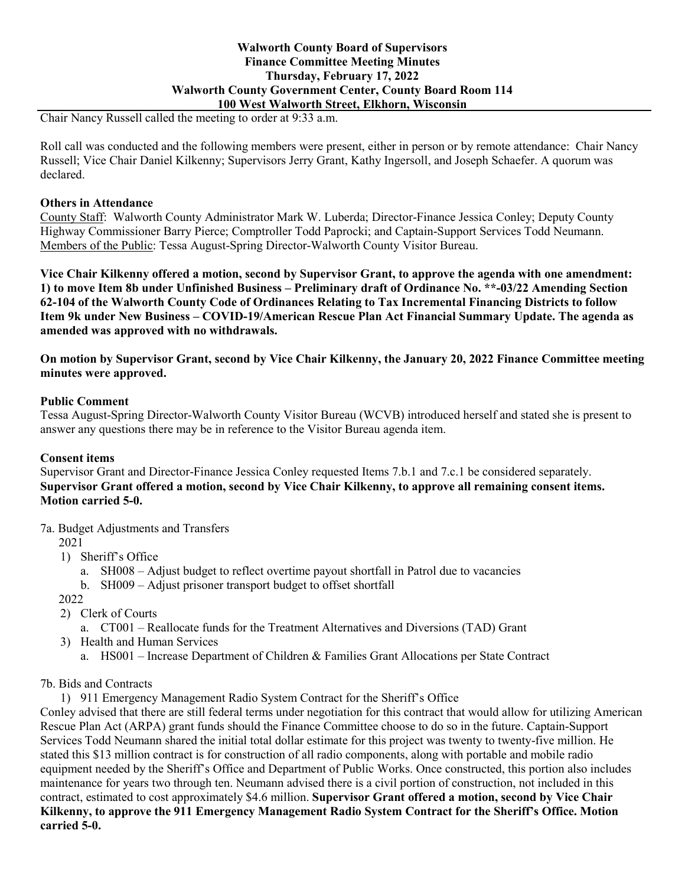Chair Nancy Russell called the meeting to order at 9:33 a.m.

Roll call was conducted and the following members were present, either in person or by remote attendance: Chair Nancy Russell; Vice Chair Daniel Kilkenny; Supervisors Jerry Grant, Kathy Ingersoll, and Joseph Schaefer. A quorum was declared.

#### **Others in Attendance**

County Staff: Walworth County Administrator Mark W. Luberda; Director-Finance Jessica Conley; Deputy County Highway Commissioner Barry Pierce; Comptroller Todd Paprocki; and Captain-Support Services Todd Neumann. Members of the Public: Tessa August-Spring Director-Walworth County Visitor Bureau.

**Vice Chair Kilkenny offered a motion, second by Supervisor Grant, to approve the agenda with one amendment: 1) to move Item 8b under Unfinished Business – Preliminary draft of Ordinance No. \*\*-03/22 Amending Section 62-104 of the Walworth County Code of Ordinances Relating to Tax Incremental Financing Districts to follow Item 9k under New Business – COVID-19/American Rescue Plan Act Financial Summary Update. The agenda as amended was approved with no withdrawals.**

**On motion by Supervisor Grant, second by Vice Chair Kilkenny, the January 20, 2022 Finance Committee meeting minutes were approved.**

## **Public Comment**

Tessa August-Spring Director-Walworth County Visitor Bureau (WCVB) introduced herself and stated she is present to answer any questions there may be in reference to the Visitor Bureau agenda item.

# **Consent items**

Supervisor Grant and Director-Finance Jessica Conley requested Items 7.b.1 and 7.c.1 be considered separately. **Supervisor Grant offered a motion, second by Vice Chair Kilkenny, to approve all remaining consent items. Motion carried 5-0.** 

7a. Budget Adjustments and Transfers

2021

- 1) Sheriff's Office
	- a. SH008 Adjust budget to reflect overtime payout shortfall in Patrol due to vacancies
	- b. SH009 Adjust prisoner transport budget to offset shortfall

2022

- 2) Clerk of Courts
	- a. CT001 Reallocate funds for the Treatment Alternatives and Diversions (TAD) Grant
- 3) Health and Human Services
	- a. HS001 Increase Department of Children & Families Grant Allocations per State Contract
- 7b. Bids and Contracts
	- 1) 911 Emergency Management Radio System Contract for the Sheriff's Office

Conley advised that there are still federal terms under negotiation for this contract that would allow for utilizing American Rescue Plan Act (ARPA) grant funds should the Finance Committee choose to do so in the future. Captain-Support Services Todd Neumann shared the initial total dollar estimate for this project was twenty to twenty-five million. He stated this \$13 million contract is for construction of all radio components, along with portable and mobile radio equipment needed by the Sheriff's Office and Department of Public Works. Once constructed, this portion also includes maintenance for years two through ten. Neumann advised there is a civil portion of construction, not included in this contract, estimated to cost approximately \$4.6 million. **Supervisor Grant offered a motion, second by Vice Chair Kilkenny, to approve the 911 Emergency Management Radio System Contract for the Sheriff's Office. Motion carried 5-0.**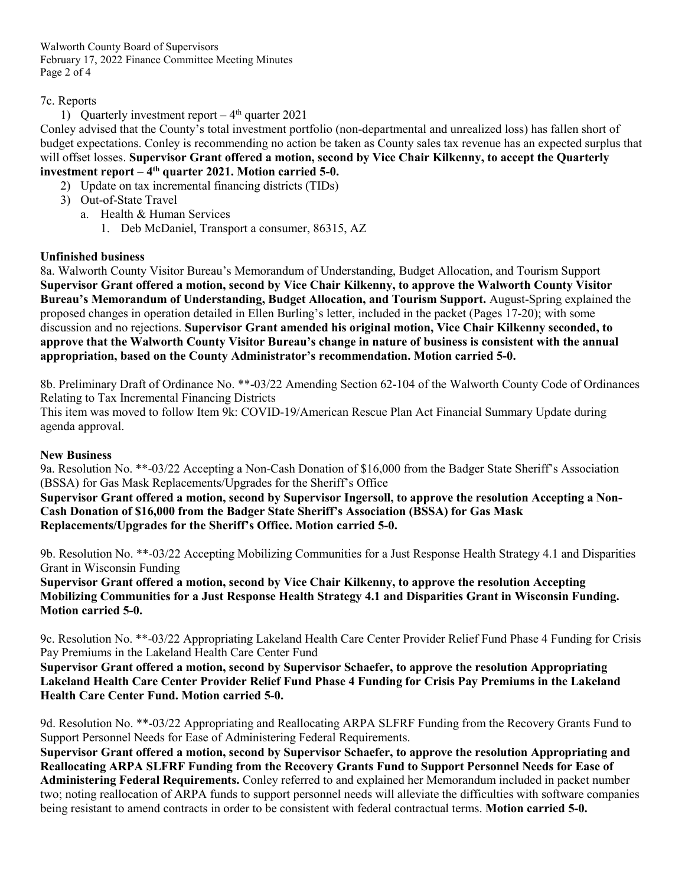Walworth County Board of Supervisors February 17, 2022 Finance Committee Meeting Minutes Page 2 of 4

## 7c. Reports

1) Quarterly investment report  $-4<sup>th</sup>$  quarter 2021

Conley advised that the County's total investment portfolio (non-departmental and unrealized loss) has fallen short of budget expectations. Conley is recommending no action be taken as County sales tax revenue has an expected surplus that will offset losses. **Supervisor Grant offered a motion, second by Vice Chair Kilkenny, to accept the Quarterly investment report – 4th quarter 2021. Motion carried 5-0.**

- 2) Update on tax incremental financing districts (TIDs)
- 3) Out-of-State Travel
	- a. Health & Human Services
		- 1. Deb McDaniel, Transport a consumer, 86315, AZ

# **Unfinished business**

8a. Walworth County Visitor Bureau's Memorandum of Understanding, Budget Allocation, and Tourism Support **Supervisor Grant offered a motion, second by Vice Chair Kilkenny, to approve the Walworth County Visitor Bureau's Memorandum of Understanding, Budget Allocation, and Tourism Support.** August-Spring explained the proposed changes in operation detailed in Ellen Burling's letter, included in the packet (Pages 17-20); with some discussion and no rejections. **Supervisor Grant amended his original motion, Vice Chair Kilkenny seconded, to approve that the Walworth County Visitor Bureau's change in nature of business is consistent with the annual appropriation, based on the County Administrator's recommendation. Motion carried 5-0.**

8b. Preliminary Draft of Ordinance No. \*\*-03/22 Amending Section 62-104 of the Walworth County Code of Ordinances Relating to Tax Incremental Financing Districts

This item was moved to follow Item 9k: COVID-19/American Rescue Plan Act Financial Summary Update during agenda approval.

#### **New Business**

9a. Resolution No. \*\*-03/22 Accepting a Non-Cash Donation of \$16,000 from the Badger State Sheriff's Association (BSSA) for Gas Mask Replacements/Upgrades for the Sheriff's Office

**Supervisor Grant offered a motion, second by Supervisor Ingersoll, to approve the resolution Accepting a Non-Cash Donation of \$16,000 from the Badger State Sheriff's Association (BSSA) for Gas Mask Replacements/Upgrades for the Sheriff's Office. Motion carried 5-0.**

9b. Resolution No. \*\*-03/22 Accepting Mobilizing Communities for a Just Response Health Strategy 4.1 and Disparities Grant in Wisconsin Funding

**Supervisor Grant offered a motion, second by Vice Chair Kilkenny, to approve the resolution Accepting Mobilizing Communities for a Just Response Health Strategy 4.1 and Disparities Grant in Wisconsin Funding. Motion carried 5-0.**

9c. Resolution No. \*\*-03/22 Appropriating Lakeland Health Care Center Provider Relief Fund Phase 4 Funding for Crisis Pay Premiums in the Lakeland Health Care Center Fund

**Supervisor Grant offered a motion, second by Supervisor Schaefer, to approve the resolution Appropriating Lakeland Health Care Center Provider Relief Fund Phase 4 Funding for Crisis Pay Premiums in the Lakeland Health Care Center Fund. Motion carried 5-0.**

9d. Resolution No. \*\*-03/22 Appropriating and Reallocating ARPA SLFRF Funding from the Recovery Grants Fund to Support Personnel Needs for Ease of Administering Federal Requirements.

**Supervisor Grant offered a motion, second by Supervisor Schaefer, to approve the resolution Appropriating and Reallocating ARPA SLFRF Funding from the Recovery Grants Fund to Support Personnel Needs for Ease of Administering Federal Requirements.** Conley referred to and explained her Memorandum included in packet number two; noting reallocation of ARPA funds to support personnel needs will alleviate the difficulties with software companies being resistant to amend contracts in order to be consistent with federal contractual terms. **Motion carried 5-0.**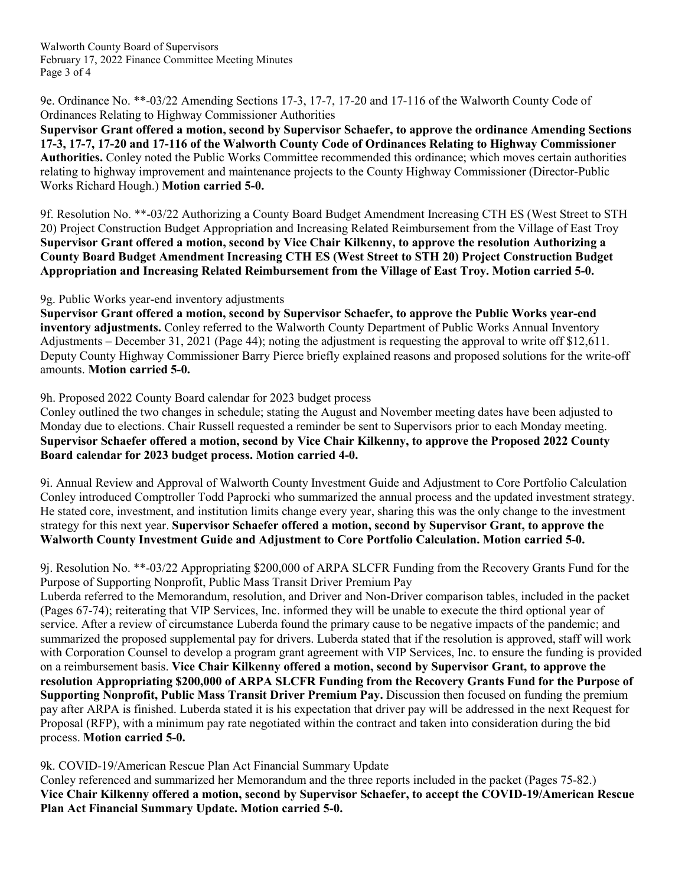Walworth County Board of Supervisors February 17, 2022 Finance Committee Meeting Minutes Page 3 of 4

9e. Ordinance No. \*\*-03/22 Amending Sections 17-3, 17-7, 17-20 and 17-116 of the Walworth County Code of Ordinances Relating to Highway Commissioner Authorities

**Supervisor Grant offered a motion, second by Supervisor Schaefer, to approve the ordinance Amending Sections 17-3, 17-7, 17-20 and 17-116 of the Walworth County Code of Ordinances Relating to Highway Commissioner Authorities.** Conley noted the Public Works Committee recommended this ordinance; which moves certain authorities relating to highway improvement and maintenance projects to the County Highway Commissioner (Director-Public Works Richard Hough.) **Motion carried 5-0.**

9f. Resolution No. \*\*-03/22 Authorizing a County Board Budget Amendment Increasing CTH ES (West Street to STH 20) Project Construction Budget Appropriation and Increasing Related Reimbursement from the Village of East Troy **Supervisor Grant offered a motion, second by Vice Chair Kilkenny, to approve the resolution Authorizing a County Board Budget Amendment Increasing CTH ES (West Street to STH 20) Project Construction Budget Appropriation and Increasing Related Reimbursement from the Village of East Troy. Motion carried 5-0.**

## 9g. Public Works year-end inventory adjustments

**Supervisor Grant offered a motion, second by Supervisor Schaefer, to approve the Public Works year-end inventory adjustments.** Conley referred to the Walworth County Department of Public Works Annual Inventory Adjustments – December 31, 2021 (Page 44); noting the adjustment is requesting the approval to write off \$12,611. Deputy County Highway Commissioner Barry Pierce briefly explained reasons and proposed solutions for the write-off amounts. **Motion carried 5-0.**

9h. Proposed 2022 County Board calendar for 2023 budget process

Conley outlined the two changes in schedule; stating the August and November meeting dates have been adjusted to Monday due to elections. Chair Russell requested a reminder be sent to Supervisors prior to each Monday meeting. **Supervisor Schaefer offered a motion, second by Vice Chair Kilkenny, to approve the Proposed 2022 County Board calendar for 2023 budget process. Motion carried 4-0.**

9i. Annual Review and Approval of Walworth County Investment Guide and Adjustment to Core Portfolio Calculation Conley introduced Comptroller Todd Paprocki who summarized the annual process and the updated investment strategy. He stated core, investment, and institution limits change every year, sharing this was the only change to the investment strategy for this next year. **Supervisor Schaefer offered a motion, second by Supervisor Grant, to approve the Walworth County Investment Guide and Adjustment to Core Portfolio Calculation. Motion carried 5-0.**

9j. Resolution No. \*\*-03/22 Appropriating \$200,000 of ARPA SLCFR Funding from the Recovery Grants Fund for the Purpose of Supporting Nonprofit, Public Mass Transit Driver Premium Pay

Luberda referred to the Memorandum, resolution, and Driver and Non-Driver comparison tables, included in the packet (Pages 67-74); reiterating that VIP Services, Inc. informed they will be unable to execute the third optional year of service. After a review of circumstance Luberda found the primary cause to be negative impacts of the pandemic; and summarized the proposed supplemental pay for drivers. Luberda stated that if the resolution is approved, staff will work with Corporation Counsel to develop a program grant agreement with VIP Services, Inc. to ensure the funding is provided on a reimbursement basis. **Vice Chair Kilkenny offered a motion, second by Supervisor Grant, to approve the resolution Appropriating \$200,000 of ARPA SLCFR Funding from the Recovery Grants Fund for the Purpose of Supporting Nonprofit, Public Mass Transit Driver Premium Pay.** Discussion then focused on funding the premium pay after ARPA is finished. Luberda stated it is his expectation that driver pay will be addressed in the next Request for Proposal (RFP), with a minimum pay rate negotiated within the contract and taken into consideration during the bid process. **Motion carried 5-0.**

# 9k. COVID-19/American Rescue Plan Act Financial Summary Update

Conley referenced and summarized her Memorandum and the three reports included in the packet (Pages 75-82.) **Vice Chair Kilkenny offered a motion, second by Supervisor Schaefer, to accept the COVID-19/American Rescue Plan Act Financial Summary Update. Motion carried 5-0.**